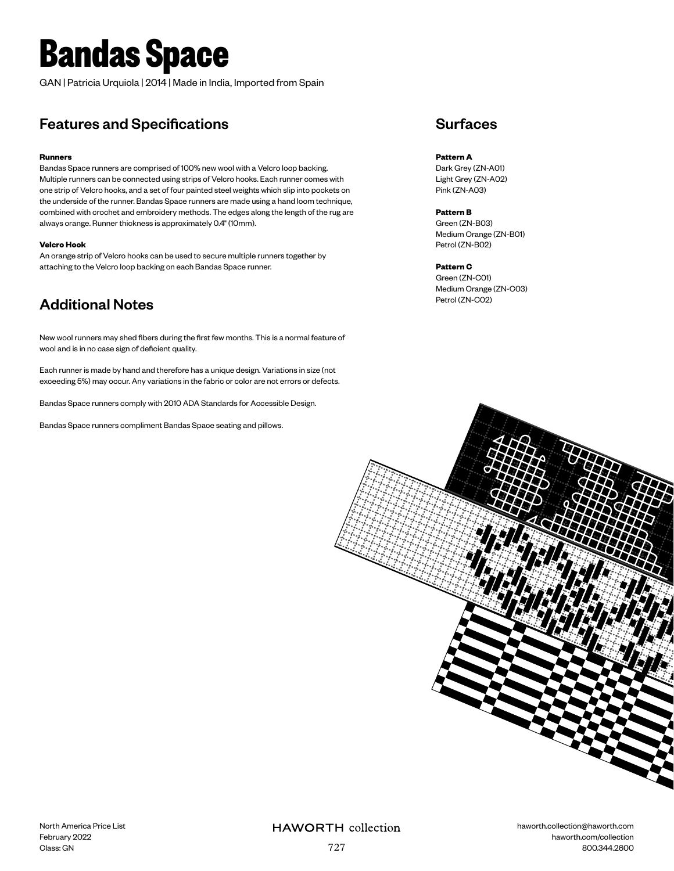# **Bandas Space**

GAN | Patricia Urquiola | 2014 | Made in India, Imported from Spain

### Features and Specifications

#### **Runners**

Bandas Space runners are comprised of 100% new wool with a Velcro loop backing. Multiple runners can be connected using strips of Velcro hooks. Each runner comes with one strip of Velcro hooks, and a set of four painted steel weights which slip into pockets on the underside of the runner. Bandas Space runners are made using a hand loom technique, combined with crochet and embroidery methods. The edges along the length of the rug are always orange. Runner thickness is approximately 0.4" (10mm).

#### **Velcro Hook**

An orange strip of Velcro hooks can be used to secure multiple runners together by attaching to the Velcro loop backing on each Bandas Space runner.

## Additional Notes

New wool runners may shed fibers during the first few months. This is a normal feature of wool and is in no case sign of deficient quality.

Each runner is made by hand and therefore has a unique design. Variations in size (not exceeding 5%) may occur. Any variations in the fabric or color are not errors or defects.

Bandas Space runners comply with 2010 ADA Standards for Accessible Design.

Bandas Space runners compliment Bandas Space seating and pillows.

### **Surfaces**

#### **Pattern A**

Dark Grey (ZN-A01) Light Grey (ZN-A02) Pink (ZN-A03)

#### **Pattern B**

Green (ZN-B03) Medium Orange (ZN-B01) Petrol (ZN-B02)

#### **Pattern C**

Green (ZN-C01) Medium Orange (ZN-C03) Petrol (ZN-C02)